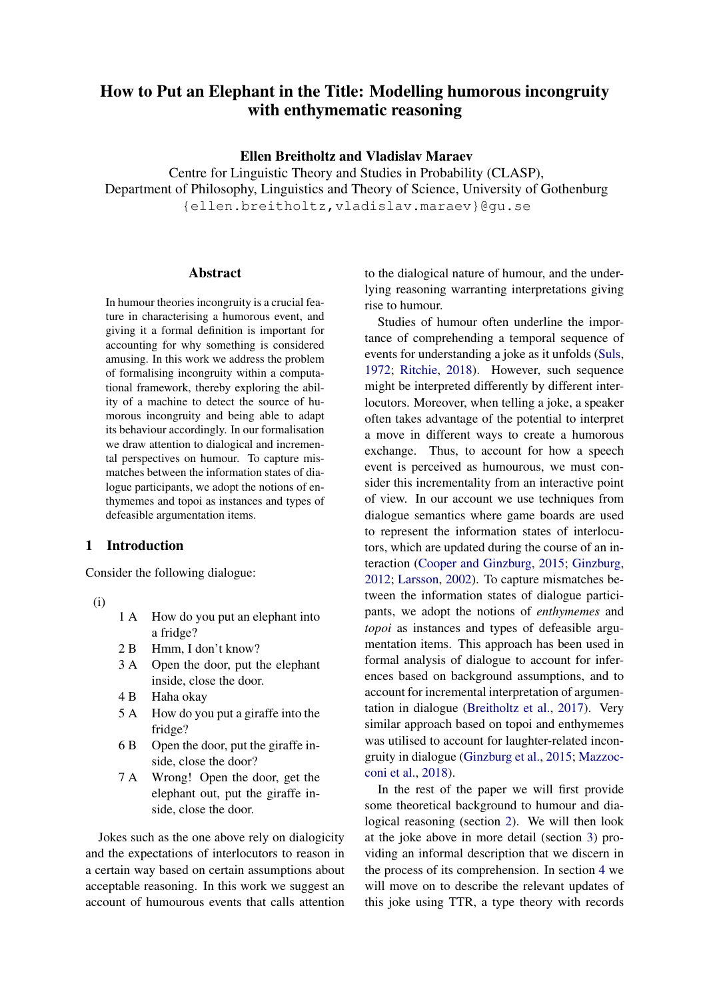# <span id="page-0-1"></span>How to Put an Elephant in the Title: Modelling humorous incongruity with enthymematic reasoning

## Ellen Breitholtz and Vladislav Maraev

Centre for Linguistic Theory and Studies in Probability (CLASP), Department of Philosophy, Linguistics and Theory of Science, University of Gothenburg {ellen.breitholtz,vladislav.maraev}@gu.se

### Abstract

In humour theories incongruity is a crucial feature in characterising a humorous event, and giving it a formal definition is important for accounting for why something is considered amusing. In this work we address the problem of formalising incongruity within a computational framework, thereby exploring the ability of a machine to detect the source of humorous incongruity and being able to adapt its behaviour accordingly. In our formalisation we draw attention to dialogical and incremental perspectives on humour. To capture mismatches between the information states of dialogue participants, we adopt the notions of enthymemes and topoi as instances and types of defeasible argumentation items.

# 1 Introduction

Consider the following dialogue:

- <span id="page-0-0"></span>(i)
- 1 A How do you put an elephant into a fridge?
- 2 B Hmm, I don't know?
- 3 A Open the door, put the elephant inside, close the door.
- 4 B Haha okay
- 5 A How do you put a giraffe into the fridge?
- 6 B Open the door, put the giraffe inside, close the door?
- 7 A Wrong! Open the door, get the elephant out, put the giraffe inside, close the door.

Jokes such as the one above rely on dialogicity and the expectations of interlocutors to reason in a certain way based on certain assumptions about acceptable reasoning. In this work we suggest an account of humourous events that calls attention

to the dialogical nature of humour, and the underlying reasoning warranting interpretations giving rise to humour.

Studies of humour often underline the importance of comprehending a temporal sequence of events for understanding a joke as it unfolds [\(Suls,](#page-8-0) [1972;](#page-8-0) [Ritchie,](#page-8-1) [2018\)](#page-8-1). However, such sequence might be interpreted differently by different interlocutors. Moreover, when telling a joke, a speaker often takes advantage of the potential to interpret a move in different ways to create a humorous exchange. Thus, to account for how a speech event is perceived as humourous, we must consider this incrementality from an interactive point of view. In our account we use techniques from dialogue semantics where game boards are used to represent the information states of interlocutors, which are updated during the course of an interaction [\(Cooper and Ginzburg,](#page-7-0) [2015;](#page-7-0) [Ginzburg,](#page-7-1) [2012;](#page-7-1) [Larsson,](#page-8-2) [2002\)](#page-8-2). To capture mismatches between the information states of dialogue participants, we adopt the notions of *enthymemes* and *topoi* as instances and types of defeasible argumentation items. This approach has been used in formal analysis of dialogue to account for inferences based on background assumptions, and to account for incremental interpretation of argumentation in dialogue [\(Breitholtz et al.,](#page-7-2) [2017\)](#page-7-2). Very similar approach based on topoi and enthymemes was utilised to account for laughter-related incongruity in dialogue [\(Ginzburg et al.,](#page-7-3) [2015;](#page-7-3) [Mazzoc](#page-8-3)[coni et al.,](#page-8-3) [2018\)](#page-8-3).

In the rest of the paper we will first provide some theoretical background to humour and dialogical reasoning (section [2\)](#page-1-0). We will then look at the joke above in more detail (section [3\)](#page-3-0) providing an informal description that we discern in the process of its comprehension. In section [4](#page-4-0) we will move on to describe the relevant updates of this joke using TTR, a type theory with records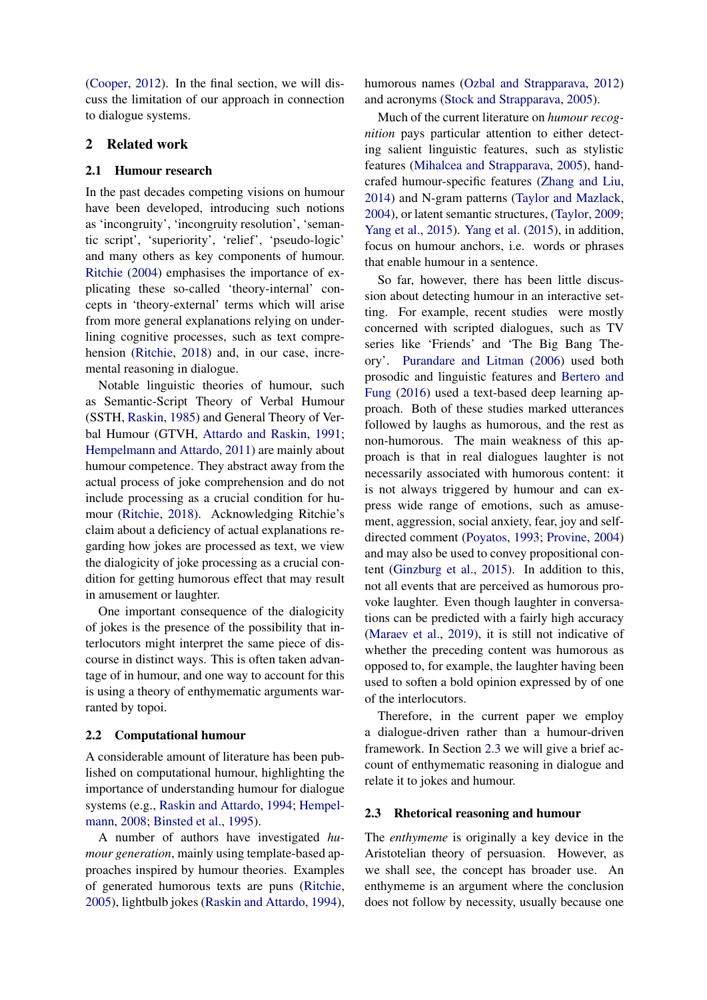[\(Cooper,](#page-7-4) [2012\)](#page-7-4). In the final section, we will discuss the limitation of our approach in connection to dialogue systems.

## <span id="page-1-0"></span>2 Related work

#### 2.1 Humour research

In the past decades competing visions on humour have been developed, introducing such notions as 'incongruity', 'incongruity resolution', 'semantic script', 'superiority', 'relief', 'pseudo-logic' and many others as key components of humour. [Ritchie](#page-8-4) [\(2004\)](#page-8-4) emphasises the importance of explicating these so-called 'theory-internal' concepts in 'theory-external' terms which will arise from more general explanations relying on underlining cognitive processes, such as text comprehension [\(Ritchie,](#page-8-1) [2018\)](#page-8-1) and, in our case, incremental reasoning in dialogue.

Notable linguistic theories of humour, such as Semantic-Script Theory of Verbal Humour (SSTH, [Raskin,](#page-8-5) [1985\)](#page-8-5) and General Theory of Verbal Humour (GTVH, [Attardo and Raskin,](#page-7-5) [1991;](#page-7-5) [Hempelmann and Attardo,](#page-8-6) [2011\)](#page-8-6) are mainly about humour competence. They abstract away from the actual process of joke comprehension and do not include processing as a crucial condition for humour [\(Ritchie,](#page-8-1) [2018\)](#page-8-1). Acknowledging Ritchie's claim about a deficiency of actual explanations regarding how jokes are processed as text, we view the dialogicity of joke processing as a crucial condition for getting humorous effect that may result in amusement or laughter.

One important consequence of the dialogicity of jokes is the presence of the possibility that interlocutors might interpret the same piece of discourse in distinct ways. This is often taken advantage of in humour, and one way to account for this is using a theory of enthymematic arguments warranted by topoi.

#### 2.2 Computational humour

A considerable amount of literature has been published on computational humour, highlighting the importance of understanding humour for dialogue systems (e.g., [Raskin and Attardo,](#page-8-7) [1994;](#page-8-7) [Hempel](#page-8-8)[mann,](#page-8-8) [2008;](#page-8-8) [Binsted et al.,](#page-7-6) [1995\)](#page-7-6).

A number of authors have investigated *humour generation*, mainly using template-based approaches inspired by humour theories. Examples of generated humorous texts are puns [\(Ritchie,](#page-8-9) [2005\)](#page-8-9), lightbulb jokes [\(Raskin and Attardo,](#page-8-7) [1994\)](#page-8-7), humorous names [\(Ozbal and Strapparava,](#page-8-10) [2012\)](#page-8-10) and acronyms [\(Stock and Strapparava,](#page-8-11) [2005\)](#page-8-11).

Much of the current literature on *humour recognition* pays particular attention to either detecting salient linguistic features, such as stylistic features [\(Mihalcea and Strapparava,](#page-8-12) [2005\)](#page-8-12), handcrafed humour-specific features [\(Zhang and Liu,](#page-8-13) [2014\)](#page-8-13) and N-gram patterns [\(Taylor and Mazlack,](#page-8-14) [2004\)](#page-8-14), or latent semantic structures, [\(Taylor,](#page-8-15) [2009;](#page-8-15) [Yang et al.,](#page-8-16) [2015\)](#page-8-16). [Yang et al.](#page-8-16) [\(2015\)](#page-8-16), in addition, focus on humour anchors, i.e. words or phrases that enable humour in a sentence.

So far, however, there has been little discussion about detecting humour in an interactive setting. For example, recent studies were mostly concerned with scripted dialogues, such as TV series like 'Friends' and 'The Big Bang Theory'. [Purandare and Litman](#page-8-17) [\(2006\)](#page-8-17) used both prosodic and linguistic features and [Bertero and](#page-7-7) [Fung](#page-7-7) [\(2016\)](#page-7-7) used a text-based deep learning approach. Both of these studies marked utterances followed by laughs as humorous, and the rest as non-humorous. The main weakness of this approach is that in real dialogues laughter is not necessarily associated with humorous content: it is not always triggered by humour and can express wide range of emotions, such as amusement, aggression, social anxiety, fear, joy and selfdirected comment [\(Poyatos,](#page-8-18) [1993;](#page-8-18) [Provine,](#page-8-19) [2004\)](#page-8-19) and may also be used to convey propositional content [\(Ginzburg et al.,](#page-7-3) [2015\)](#page-7-3). In addition to this, not all events that are perceived as humorous provoke laughter. Even though laughter in conversations can be predicted with a fairly high accuracy [\(Maraev et al.,](#page-8-20) [2019\)](#page-8-20), it is still not indicative of whether the preceding content was humorous as opposed to, for example, the laughter having been used to soften a bold opinion expressed by of one of the interlocutors.

Therefore, in the current paper we employ a dialogue-driven rather than a humour-driven framework. In Section [2.3](#page-1-1) we will give a brief account of enthymematic reasoning in dialogue and relate it to jokes and humour.

#### <span id="page-1-1"></span>2.3 Rhetorical reasoning and humour

The *enthymeme* is originally a key device in the Aristotelian theory of persuasion. However, as we shall see, the concept has broader use. An enthymeme is an argument where the conclusion does not follow by necessity, usually because one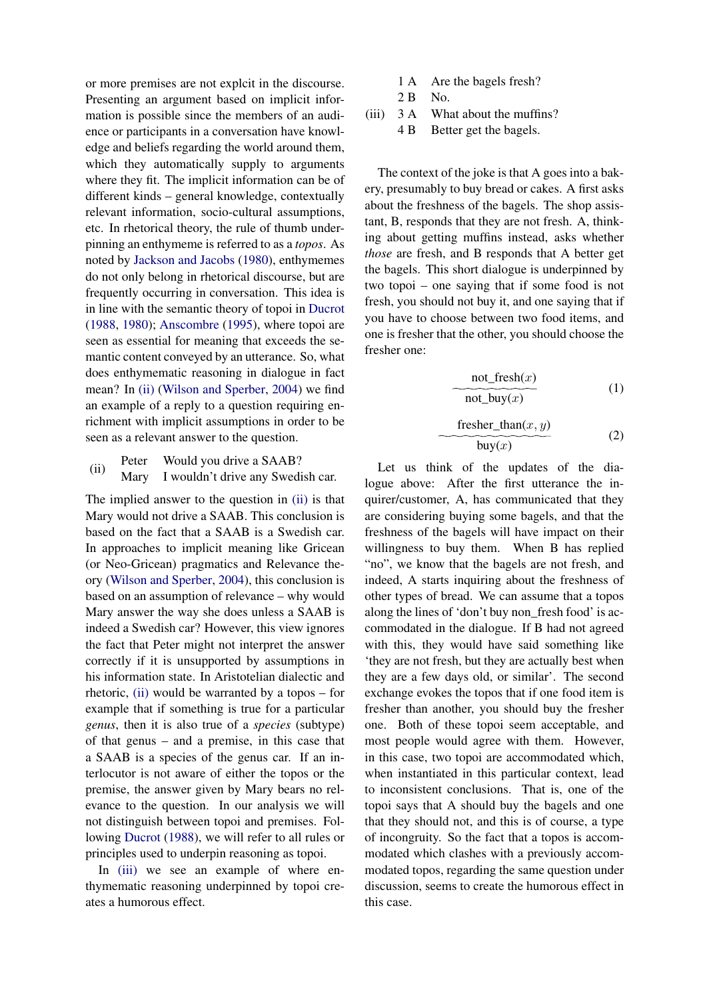or more premises are not explcit in the discourse. Presenting an argument based on implicit information is possible since the members of an audience or participants in a conversation have knowledge and beliefs regarding the world around them, which they automatically supply to arguments where they fit. The implicit information can be of different kinds – general knowledge, contextually relevant information, socio-cultural assumptions, etc. In rhetorical theory, the rule of thumb underpinning an enthymeme is referred to as a *topos*. As noted by [Jackson and Jacobs](#page-8-21) [\(1980\)](#page-8-21), enthymemes do not only belong in rhetorical discourse, but are frequently occurring in conversation. This idea is in line with the semantic theory of topoi in [Ducrot](#page-7-8) [\(1988,](#page-7-8) [1980\)](#page-7-9); [Anscombre](#page-7-10) [\(1995\)](#page-7-10), where topoi are seen as essential for meaning that exceeds the semantic content conveyed by an utterance. So, what does enthymematic reasoning in dialogue in fact mean? In [\(ii\)](#page-2-0) [\(Wilson and Sperber,](#page-8-22) [2004\)](#page-8-22) we find an example of a reply to a question requiring enrichment with implicit assumptions in order to be seen as a relevant answer to the question.

<span id="page-2-0"></span>(ii) Peter Would you drive a SAAB?<br>Mary I wouldn't drive any Swedi I wouldn't drive any Swedish car.

The implied answer to the question in [\(ii\)](#page-2-0) is that Mary would not drive a SAAB. This conclusion is based on the fact that a SAAB is a Swedish car. In approaches to implicit meaning like Gricean (or Neo-Gricean) pragmatics and Relevance theory [\(Wilson and Sperber,](#page-8-22) [2004\)](#page-8-22), this conclusion is based on an assumption of relevance – why would Mary answer the way she does unless a SAAB is indeed a Swedish car? However, this view ignores the fact that Peter might not interpret the answer correctly if it is unsupported by assumptions in his information state. In Aristotelian dialectic and rhetoric, [\(ii\)](#page-2-0) would be warranted by a topos – for example that if something is true for a particular *genus*, then it is also true of a *species* (subtype) of that genus – and a premise, in this case that a SAAB is a species of the genus car. If an interlocutor is not aware of either the topos or the premise, the answer given by Mary bears no relevance to the question. In our analysis we will not distinguish between topoi and premises. Following [Ducrot](#page-7-8) [\(1988\)](#page-7-8), we will refer to all rules or principles used to underpin reasoning as topoi.

In [\(iii\)](#page-2-1) we see an example of where enthymematic reasoning underpinned by topoi creates a humorous effect.

- 1 A Are the bagels fresh?
- <span id="page-2-1"></span>2 B No.
- (iii) 3 A What about the muffins?

4 B Better get the bagels.

The context of the joke is that A goes into a bakery, presumably to buy bread or cakes. A first asks about the freshness of the bagels. The shop assistant, B, responds that they are not fresh. A, thinking about getting muffins instead, asks whether *those* are fresh, and B responds that A better get the bagels. This short dialogue is underpinned by two topoi – one saying that if some food is not fresh, you should not buy it, and one saying that if you have to choose between two food items, and one is fresher that the other, you should choose the fresher one:

$$
\underbrace{\text{not\_fresh}(x)}_{\text{not\_buy}(x)} \tag{1}
$$

$$
\frac{\text{fresher\_than}(x, y)}{\text{buy}(x)}\tag{2}
$$

Let us think of the updates of the dialogue above: After the first utterance the inquirer/customer, A, has communicated that they are considering buying some bagels, and that the freshness of the bagels will have impact on their willingness to buy them. When B has replied "no", we know that the bagels are not fresh, and indeed, A starts inquiring about the freshness of other types of bread. We can assume that a topos along the lines of 'don't buy non\_fresh food' is accommodated in the dialogue. If B had not agreed with this, they would have said something like 'they are not fresh, but they are actually best when they are a few days old, or similar'. The second exchange evokes the topos that if one food item is fresher than another, you should buy the fresher one. Both of these topoi seem acceptable, and most people would agree with them. However, in this case, two topoi are accommodated which, when instantiated in this particular context, lead to inconsistent conclusions. That is, one of the topoi says that A should buy the bagels and one that they should not, and this is of course, a type of incongruity. So the fact that a topos is accommodated which clashes with a previously accommodated topos, regarding the same question under discussion, seems to create the humorous effect in this case.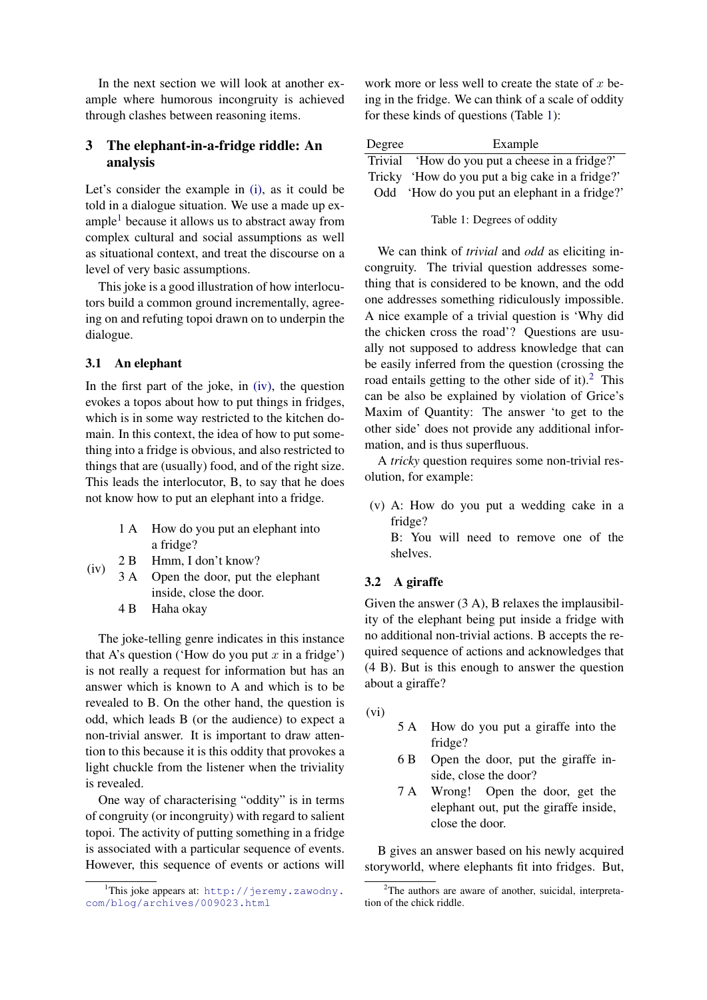In the next section we will look at another example where humorous incongruity is achieved through clashes between reasoning items.

# <span id="page-3-0"></span>3 The elephant-in-a-fridge riddle: An analysis

Let's consider the example in [\(i\),](#page-0-0) as it could be told in a dialogue situation. We use a made up ex-ample<sup>[1](#page-0-1)</sup> because it allows us to abstract away from complex cultural and social assumptions as well as situational context, and treat the discourse on a level of very basic assumptions.

This joke is a good illustration of how interlocutors build a common ground incrementally, agreeing on and refuting topoi drawn on to underpin the dialogue.

## 3.1 An elephant

In the first part of the joke, in [\(iv\),](#page-3-1) the question evokes a topos about how to put things in fridges, which is in some way restricted to the kitchen domain. In this context, the idea of how to put something into a fridge is obvious, and also restricted to things that are (usually) food, and of the right size. This leads the interlocutor, B, to say that he does not know how to put an elephant into a fridge.

- 1 A How do you put an elephant into a fridge?
- <span id="page-3-1"></span>(iv) 2 B Hmm, I don't know?
	- 3 A Open the door, put the elephant inside, close the door.
		- 4 B Haha okay

The joke-telling genre indicates in this instance that A's question ('How do you put  $x$  in a fridge') is not really a request for information but has an answer which is known to A and which is to be revealed to B. On the other hand, the question is odd, which leads B (or the audience) to expect a non-trivial answer. It is important to draw attention to this because it is this oddity that provokes a light chuckle from the listener when the triviality is revealed.

One way of characterising "oddity" is in terms of congruity (or incongruity) with regard to salient topoi. The activity of putting something in a fridge is associated with a particular sequence of events. However, this sequence of events or actions will

work more or less well to create the state of  $x$  being in the fridge. We can think of a scale of oddity for these kinds of questions (Table [1\)](#page-3-2):

<span id="page-3-2"></span>

| Degree | Example                                         |
|--------|-------------------------------------------------|
|        | Trivial 'How do you put a cheese in a fridge?'  |
|        | Tricky 'How do you put a big cake in a fridge?' |
|        | Odd 'How do you put an elephant in a fridge?'   |

Table 1: Degrees of oddity

We can think of *trivial* and *odd* as eliciting incongruity. The trivial question addresses something that is considered to be known, and the odd one addresses something ridiculously impossible. A nice example of a trivial question is 'Why did the chicken cross the road'? Questions are usually not supposed to address knowledge that can be easily inferred from the question (crossing the road entails getting to the other side of it).<sup>[2](#page-0-1)</sup> This can be also be explained by violation of Grice's Maxim of Quantity: The answer 'to get to the other side' does not provide any additional information, and is thus superfluous.

A *tricky* question requires some non-trivial resolution, for example:

(v) A: How do you put a wedding cake in a fridge?

B: You will need to remove one of the shelves.

## 3.2 A giraffe

Given the answer (3 A), B relaxes the implausibility of the elephant being put inside a fridge with no additional non-trivial actions. B accepts the required sequence of actions and acknowledges that (4 B). But is this enough to answer the question about a giraffe?

(vi)

- 5 A How do you put a giraffe into the fridge?
- 6 B Open the door, put the giraffe inside, close the door?
- 7 A Wrong! Open the door, get the elephant out, put the giraffe inside, close the door.

B gives an answer based on his newly acquired storyworld, where elephants fit into fridges. But,

<sup>&</sup>lt;sup>1</sup>This joke appears at: [http://jeremy.zawodny.](http://jeremy.zawodny.com/blog/archives/009023.html) [com/blog/archives/009023.html](http://jeremy.zawodny.com/blog/archives/009023.html)

<sup>&</sup>lt;sup>2</sup>The authors are aware of another, suicidal, interpretation of the chick riddle.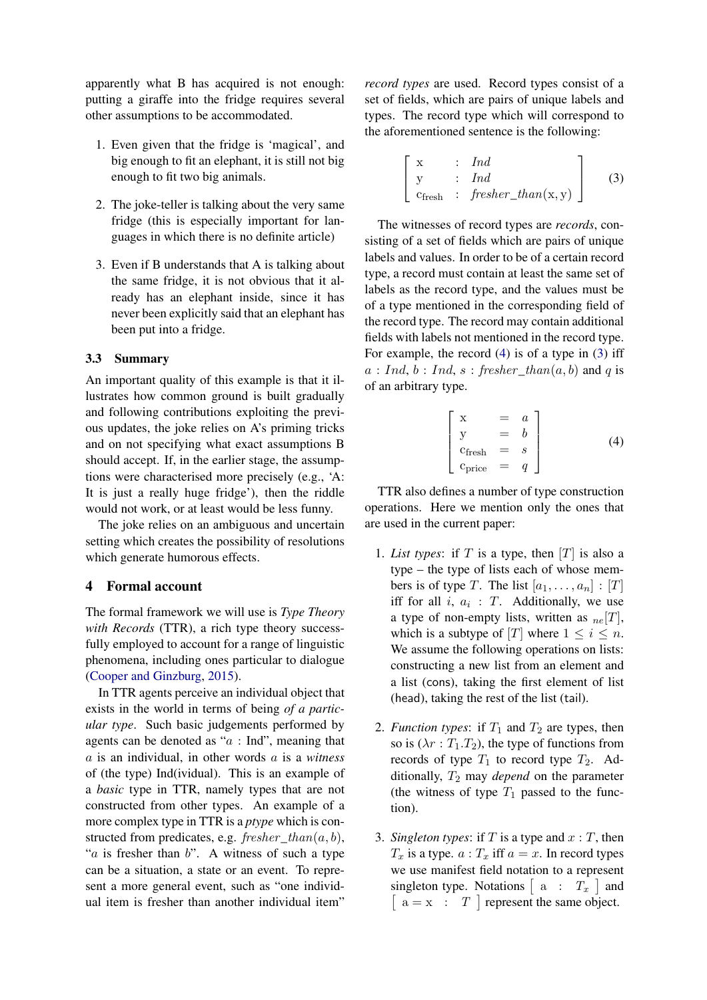apparently what B has acquired is not enough: putting a giraffe into the fridge requires several other assumptions to be accommodated.

- 1. Even given that the fridge is 'magical', and big enough to fit an elephant, it is still not big enough to fit two big animals.
- 2. The joke-teller is talking about the very same fridge (this is especially important for languages in which there is no definite article)
- 3. Even if B understands that A is talking about the same fridge, it is not obvious that it already has an elephant inside, since it has never been explicitly said that an elephant has been put into a fridge.

#### 3.3 Summary

An important quality of this example is that it illustrates how common ground is built gradually and following contributions exploiting the previous updates, the joke relies on A's priming tricks and on not specifying what exact assumptions B should accept. If, in the earlier stage, the assumptions were characterised more precisely (e.g., 'A: It is just a really huge fridge'), then the riddle would not work, or at least would be less funny.

The joke relies on an ambiguous and uncertain setting which creates the possibility of resolutions which generate humorous effects.

#### <span id="page-4-0"></span>4 Formal account

The formal framework we will use is *Type Theory with Records* (TTR), a rich type theory successfully employed to account for a range of linguistic phenomena, including ones particular to dialogue [\(Cooper and Ginzburg,](#page-7-0) [2015\)](#page-7-0).

In TTR agents perceive an individual object that exists in the world in terms of being *of a particular type*. Such basic judgements performed by agents can be denoted as " $a : Ind$ ", meaning that a is an individual, in other words a is a *witness* of (the type) Ind(ividual). This is an example of a *basic* type in TTR, namely types that are not constructed from other types. An example of a more complex type in TTR is a *ptype* which is constructed from predicates, e.g.  $fresher\_than(a, b)$ , " $a$  is fresher than  $b$ ". A witness of such a type can be a situation, a state or an event. To represent a more general event, such as "one individual item is fresher than another individual item"

*record types* are used. Record types consist of a set of fields, which are pairs of unique labels and types. The record type which will correspond to the aforementioned sentence is the following:

<span id="page-4-2"></span>
$$
\begin{bmatrix} x & : & Ind \\ y & : & Ind \\ c_{\text{fresh}} & : & \text{fresher\_than}(x, y) \end{bmatrix} \tag{3}
$$

The witnesses of record types are *records*, consisting of a set of fields which are pairs of unique labels and values. In order to be of a certain record type, a record must contain at least the same set of labels as the record type, and the values must be of a type mentioned in the corresponding field of the record type. The record may contain additional fields with labels not mentioned in the record type. For example, the record [\(4\)](#page-4-1) is of a type in [\(3\)](#page-4-2) iff  $a: Ind, b: Ind, s: fresher\_than(a, b)$  and q is of an arbitrary type.

<span id="page-4-1"></span>
$$
\begin{bmatrix}\nx & = & a \\
y & = & b \\
c_{\text{fresh}} & = & s \\
c_{\text{price}} & = & q\n\end{bmatrix}
$$
\n(4)

TTR also defines a number of type construction operations. Here we mention only the ones that are used in the current paper:

- 1. *List types*: if  $T$  is a type, then  $|T|$  is also a type – the type of lists each of whose members is of type T. The list  $[a_1, \ldots, a_n] : [T]$ iff for all  $i, a_i : T$ . Additionally, we use a type of non-empty lists, written as  $_{ne}[T]$ , which is a subtype of [T] where  $1 \leq i \leq n$ . We assume the following operations on lists: constructing a new list from an element and a list (cons), taking the first element of list (head), taking the rest of the list (tail).
- 2. *Function types*: if  $T_1$  and  $T_2$  are types, then so is  $(\lambda r : T_1.T_2)$ , the type of functions from records of type  $T_1$  to record type  $T_2$ . Additionally,  $T_2$  may *depend* on the parameter (the witness of type  $T_1$  passed to the function).
- 3. *Singleton types*: if  $T$  is a type and  $x : T$ , then  $T_x$  is a type.  $a: T_x$  iff  $a = x$ . In record types we use manifest field notation to a represent singleton type. Notations  $\begin{bmatrix} a : T_x \end{bmatrix}$  and  $\begin{bmatrix} a = x : T \end{bmatrix}$  represent the same object.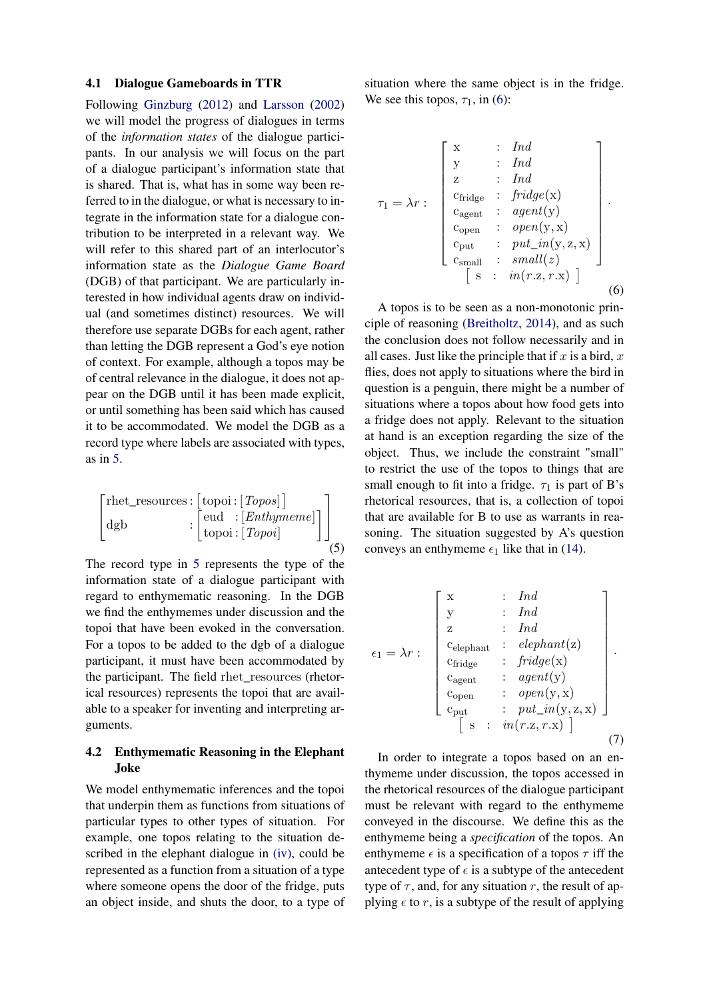#### 4.1 Dialogue Gameboards in TTR

Following [Ginzburg](#page-7-1) [\(2012\)](#page-7-1) and [Larsson](#page-8-2) [\(2002\)](#page-8-2) we will model the progress of dialogues in terms of the *information states* of the dialogue participants. In our analysis we will focus on the part of a dialogue participant's information state that is shared. That is, what has in some way been referred to in the dialogue, or what is necessary to integrate in the information state for a dialogue contribution to be interpreted in a relevant way. We will refer to this shared part of an interlocutor's information state as the *Dialogue Game Board* (DGB) of that participant. We are particularly interested in how individual agents draw on individual (and sometimes distinct) resources. We will therefore use separate DGBs for each agent, rather than letting the DGB represent a God's eye notion of context. For example, although a topos may be of central relevance in the dialogue, it does not appear on the DGB until it has been made explicit, or until something has been said which has caused it to be accommodated. We model the DGB as a record type where labels are associated with types, as in [5.](#page-5-0)

<span id="page-5-0"></span>
$$
\begin{bmatrix} \text{rhet\_resources}: [\text{topoi}: [Topos]] \\ \text{dgb} & : [\text{eud} : [Enthymeme]] \\ \text{topoi}: [Topoi] \end{bmatrix} \begin{bmatrix} \end{bmatrix}
$$

The record type in [5](#page-5-0) represents the type of the information state of a dialogue participant with regard to enthymematic reasoning. In the DGB we find the enthymemes under discussion and the topoi that have been evoked in the conversation. For a topos to be added to the dgb of a dialogue participant, it must have been accommodated by the participant. The field rhet\_resources (rhetorical resources) represents the topoi that are available to a speaker for inventing and interpreting arguments.

# 4.2 Enthymematic Reasoning in the Elephant Joke

We model enthymematic inferences and the topoi that underpin them as functions from situations of particular types to other types of situation. For example, one topos relating to the situation described in the elephant dialogue in [\(iv\),](#page-3-1) could be represented as a function from a situation of a type where someone opens the door of the fridge, puts an object inside, and shuts the door, to a type of <span id="page-5-1"></span>situation where the same object is in the fridge. We see this topos,  $\tau_1$ , in [\(6\)](#page-5-1):

$$
\tau_1 = \lambda r : \begin{bmatrix} x & \cdot & \cdot & \text{Ind} \\ y & \cdot & \cdot & \text{Ind} \\ z & \cdot & \text{Ind} \\ c_{\text{fridge}} & \cdot & \text{fridge}(x) \\ c_{\text{agent}} & \cdot & \text{agent}(y) \\ c_{\text{open}} & \cdot & \text{open}(y, x) \\ c_{\text{put}} & \cdot & \text{put\_in}(y, z, x) \\ c_{\text{small}} & \cdot & \text{small}(z) \\ s & \cdot & \text{in}(r.z, r.x) \end{bmatrix}.
$$
 (6)

A topos is to be seen as a non-monotonic principle of reasoning [\(Breitholtz,](#page-7-11) [2014\)](#page-7-11), and as such the conclusion does not follow necessarily and in all cases. Just like the principle that if  $x$  is a bird,  $x$ flies, does not apply to situations where the bird in question is a penguin, there might be a number of situations where a topos about how food gets into a fridge does not apply. Relevant to the situation at hand is an exception regarding the size of the object. Thus, we include the constraint "small" to restrict the use of the topos to things that are small enough to fit into a fridge.  $\tau_1$  is part of B's rhetorical resources, that is, a collection of topoi that are available for B to use as warrants in reasoning. The situation suggested by A's question conveys an enthymeme  $\epsilon_1$  like that in [\(14\)](#page-7-12).

$$
\epsilon_{1} = \lambda r : \begin{bmatrix} x & \cdots & Ind \\ y & \cdots & Ind \\ z & \cdots & Ind \\ c_{\text{elephant}} & \cdots & e_{\text{lephant}} \\ \vdots & \cdots & \cdots \\ c_{\text{right}} & \cdots & \cdots \\ c_{\text{agent}} & \cdots & \cdots & \cdots \\ c_{\text{open}} & \cdots & \cdots & \cdots \\ c_{\text{open}} & \cdots & \cdots & \cdots \\ c_{\text{pert}} & \cdots & \cdots & \cdots \\ c_{\text{part}} & \cdots & \cdots & \cdots \\ c_{\text{out}} & \cdots & \cdots & \cdots \\ s & \cdots & \cdots & \cdots & \cdots \end{bmatrix}.
$$

In order to integrate a topos based on an enthymeme under discussion, the topos accessed in the rhetorical resources of the dialogue participant must be relevant with regard to the enthymeme conveyed in the discourse. We define this as the enthymeme being a *specification* of the topos. An enthymeme  $\epsilon$  is a specification of a topos  $\tau$  iff the antecedent type of  $\epsilon$  is a subtype of the antecedent type of  $\tau$ , and, for any situation r, the result of applying  $\epsilon$  to r, is a subtype of the result of applying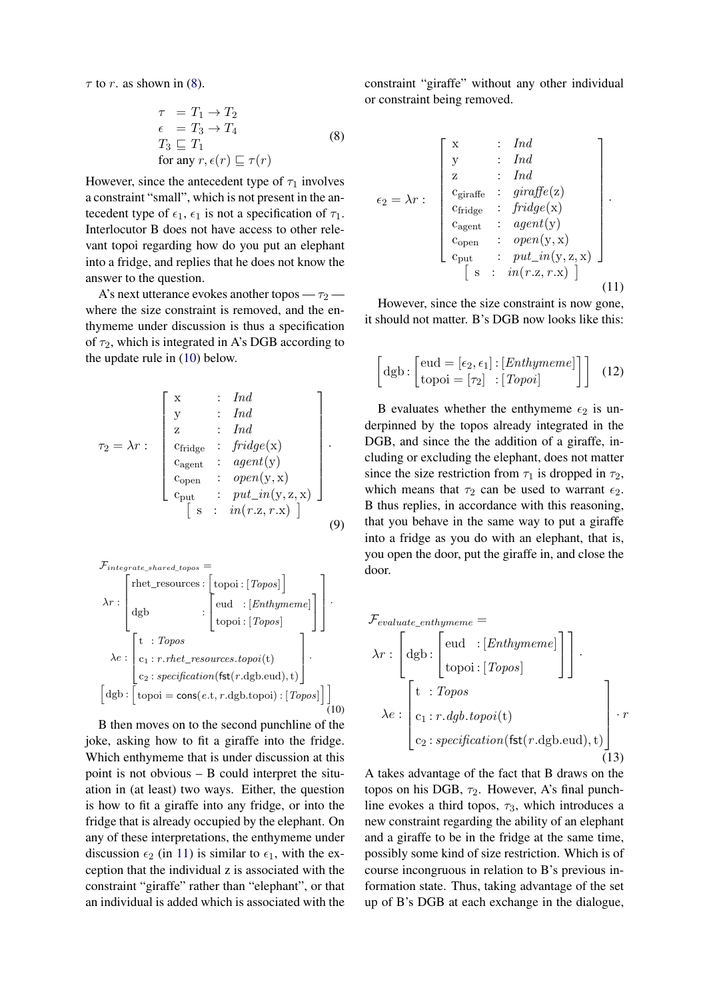<span id="page-6-0"></span> $\tau$  to r. as shown in [\(8\)](#page-6-0).

$$
\tau = T_1 \rightarrow T_2
$$
  
\n
$$
\epsilon = T_3 \rightarrow T_4
$$
  
\n
$$
T_3 \sqsubseteq T_1
$$
  
\nfor any  $r, \epsilon(r) \sqsubseteq \tau(r)$  (8)

However, since the antecedent type of  $\tau_1$  involves a constraint "small", which is not present in the antecedent type of  $\epsilon_1$ ,  $\epsilon_1$  is not a specification of  $\tau_1$ . Interlocutor B does not have access to other relevant topoi regarding how do you put an elephant into a fridge, and replies that he does not know the answer to the question.

A's next utterance evokes another topos —  $\tau_2$  where the size constraint is removed, and the enthymeme under discussion is thus a specification of  $\tau_2$ , which is integrated in A's DGB according to the update rule in [\(10\)](#page-6-1) below.

τ<sup>2</sup> = λr : x : Ind y : Ind z : Ind cfridge : fridge(x) cagent : agent(y) copen : open(y, x) cput : put\_in(y, z, x) · s : in(r .z, r .x) (9)

<span id="page-6-1"></span> $\mathcal{F}_{intearate\ shared\ topos} =$ 

$$
\lambda r : \begin{bmatrix} \text{rhet\_resources}: \begin{bmatrix} \text{topoi}: [Topos] \end{bmatrix} \\ \text{dgb} \\ \text{topoi}: [Enthymeme] \\ \text{topoi}: [Topos] \end{bmatrix} \end{bmatrix}.
$$

$$
\lambda e : \begin{bmatrix} t : Topos \\ c_1 : r.rhet\_resources.topoi(t) \\ c_2 : specification(\text{fst}(r.dgb.edu), t) \end{bmatrix}.
$$

$$
[dgb: [\text{topoi} = cons(e.t, r.dgb.topoi): [Topos]]]
$$
(10)

B then moves on to the second punchline of the joke, asking how to fit a giraffe into the fridge. Which enthymeme that is under discussion at this point is not obvious – B could interpret the situation in (at least) two ways. Either, the question is how to fit a giraffe into any fridge, or into the fridge that is already occupied by the elephant. On any of these interpretations, the enthymeme under discussion  $\epsilon_2$  (in [11\)](#page-6-2) is similar to  $\epsilon_1$ , with the exception that the individual z is associated with the constraint "giraffe" rather than "elephant", or that an individual is added which is associated with the

<span id="page-6-2"></span>constraint "giraffe" without any other individual or constraint being removed.

$$
\epsilon_2 = \lambda r : \begin{bmatrix} x & \cdots & \operatorname{Ind} \\ y & \cdots & \operatorname{Ind} \\ z & \cdots & \operatorname{Ind} \\ c_{\operatorname{giraff}} & \cdots & \operatorname{graff}e(z) \\ c_{\operatorname{fridge}} & \cdots & \operatorname{fridge}(x) \\ c_{\operatorname{agent}} & \cdots & \operatorname{agent}(y) \\ c_{\operatorname{open}} & \cdots & \operatorname{open}(y, x) \\ c_{\operatorname{put}} & \cdots & \operatorname{put\_in}(y, z, x) \\ s & \cdots & \cdots & \cdots \end{bmatrix}.
$$
 (11)

However, since the size constraint is now gone, it should not matter. B's DGB now looks like this:

$$
\begin{bmatrix} \text{dgb} : \begin{bmatrix} \text{eud} = [\epsilon_2, \epsilon_1] : [Enthyperel] \\ \text{topoi} = [\tau_2] : [Topoi] \end{bmatrix} \end{bmatrix} \tag{12}
$$

B evaluates whether the enthymeme  $\epsilon_2$  is underpinned by the topos already integrated in the DGB, and since the the addition of a giraffe, including or excluding the elephant, does not matter since the size restriction from  $\tau_1$  is dropped in  $\tau_2$ , which means that  $\tau_2$  can be used to warrant  $\epsilon_2$ . B thus replies, in accordance with this reasoning, that you behave in the same way to put a giraffe into a fridge as you do with an elephant, that is, you open the door, put the giraffe in, and close the door.

$$
\mathcal{F}_{evaluate\_enthyperme} = \lambda r : \begin{bmatrix} \text{dgb} : \begin{bmatrix} \text{eud} & \text{:}[Enthyperme] \\ \text{topoi} : \begin{bmatrix} \text{Topos} \end{bmatrix} \end{bmatrix} \end{bmatrix}.
$$
\n
$$
\lambda e : \begin{bmatrix} t & \text{:} Topos \\ \text{c}_1 : r \cdot dgb \cdot topoi(t) \\ \text{c}_2 : specification(\text{fst}(r \cdot dgb \cdot eu), t) \end{bmatrix} \cdot r
$$
\n(13)

A takes advantage of the fact that B draws on the topos on his DGB,  $\tau_2$ . However, A's final punchline evokes a third topos,  $\tau_3$ , which introduces a new constraint regarding the ability of an elephant and a giraffe to be in the fridge at the same time, possibly some kind of size restriction. Which is of course incongruous in relation to B's previous information state. Thus, taking advantage of the set up of B's DGB at each exchange in the dialogue,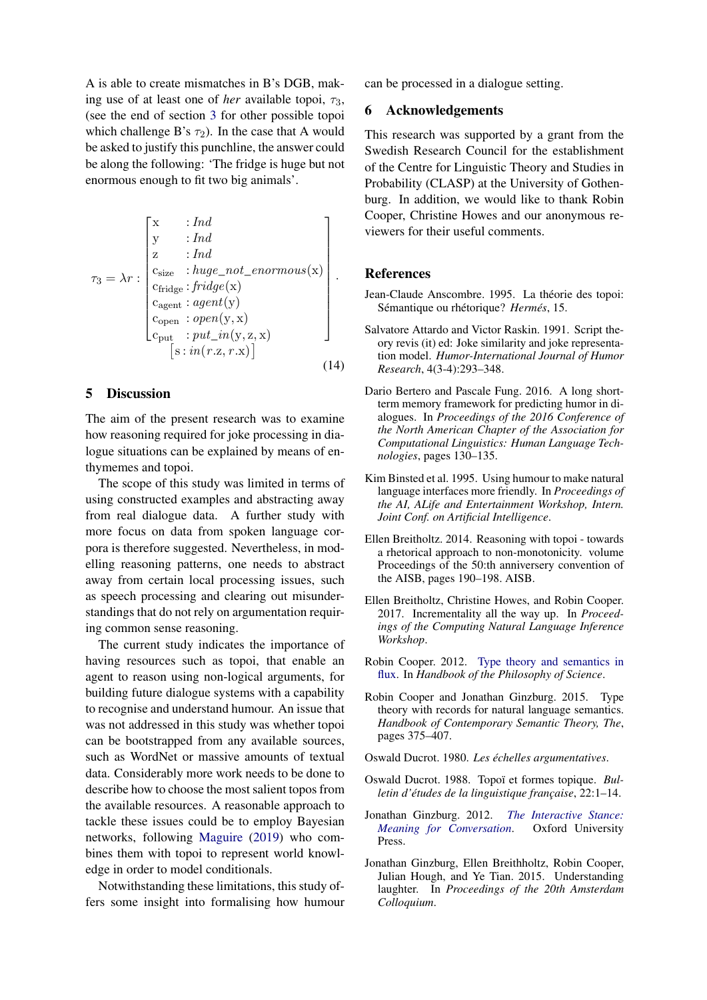A is able to create mismatches in B's DGB, making use of at least one of *her* available topoi,  $\tau_3$ , (see the end of section [3](#page-3-0) for other possible topoi which challenge B's  $\tau_2$ ). In the case that A would be asked to justify this punchline, the answer could be along the following: 'The fridge is huge but not enormous enough to fit two big animals'.

<span id="page-7-12"></span>
$$
\tau_3 = \lambda r : \begin{bmatrix} x & : Ind \\ y & : Ind \\ z & : Ind \\ c_{size} & : huge\_not\_enormous(x) \\ c_{fridge} : fridge(x) \\ c_{agent} : agent(y) \\ c_{open} & : open(y, x) \\ c_{put} & : put\_in(y, z, x) \\ s : in(r.z, r.x) \end{bmatrix}.
$$
\n(14)

#### 5 Discussion

The aim of the present research was to examine how reasoning required for joke processing in dialogue situations can be explained by means of enthymemes and topoi.

The scope of this study was limited in terms of using constructed examples and abstracting away from real dialogue data. A further study with more focus on data from spoken language corpora is therefore suggested. Nevertheless, in modelling reasoning patterns, one needs to abstract away from certain local processing issues, such as speech processing and clearing out misunderstandings that do not rely on argumentation requiring common sense reasoning.

The current study indicates the importance of having resources such as topoi, that enable an agent to reason using non-logical arguments, for building future dialogue systems with a capability to recognise and understand humour. An issue that was not addressed in this study was whether topoi can be bootstrapped from any available sources, such as WordNet or massive amounts of textual data. Considerably more work needs to be done to describe how to choose the most salient topos from the available resources. A reasonable approach to tackle these issues could be to employ Bayesian networks, following [Maguire](#page-8-23) [\(2019\)](#page-8-23) who combines them with topoi to represent world knowledge in order to model conditionals.

Notwithstanding these limitations, this study offers some insight into formalising how humour can be processed in a dialogue setting.

# 6 Acknowledgements

This research was supported by a grant from the Swedish Research Council for the establishment of the Centre for Linguistic Theory and Studies in Probability (CLASP) at the University of Gothenburg. In addition, we would like to thank Robin Cooper, Christine Howes and our anonymous reviewers for their useful comments.

#### References

- <span id="page-7-10"></span>Jean-Claude Anscombre. 1995. La théorie des topoi: Sémantique ou rhétorique? *Hermés*, 15.
- <span id="page-7-5"></span>Salvatore Attardo and Victor Raskin. 1991. Script theory revis (it) ed: Joke similarity and joke representation model. *Humor-International Journal of Humor Research*, 4(3-4):293–348.
- <span id="page-7-7"></span>Dario Bertero and Pascale Fung. 2016. A long shortterm memory framework for predicting humor in dialogues. In *Proceedings of the 2016 Conference of the North American Chapter of the Association for Computational Linguistics: Human Language Technologies*, pages 130–135.
- <span id="page-7-6"></span>Kim Binsted et al. 1995. Using humour to make natural language interfaces more friendly. In *Proceedings of the AI, ALife and Entertainment Workshop, Intern. Joint Conf. on Artificial Intelligence*.
- <span id="page-7-11"></span>Ellen Breitholtz. 2014. Reasoning with topoi - towards a rhetorical approach to non-monotonicity. volume Proceedings of the 50:th anniversery convention of the AISB, pages 190–198. AISB.
- <span id="page-7-2"></span>Ellen Breitholtz, Christine Howes, and Robin Cooper. 2017. Incrementality all the way up. In *Proceedings of the Computing Natural Language Inference Workshop*.
- <span id="page-7-4"></span>Robin Cooper. 2012. [Type theory and semantics in](https://sites.google.com/site/typetheorywithrecords/drafts/ddl-final.pdf) [flux.](https://sites.google.com/site/typetheorywithrecords/drafts/ddl-final.pdf) In *Handbook of the Philosophy of Science*.
- <span id="page-7-0"></span>Robin Cooper and Jonathan Ginzburg. 2015. Type theory with records for natural language semantics. *Handbook of Contemporary Semantic Theory, The*, pages 375–407.
- <span id="page-7-9"></span>Oswald Ducrot. 1980. *Les échelles argumentatives*.
- <span id="page-7-8"></span>Oswald Ducrot. 1988. Topoï et formes topique. *Bulletin d'études de la linguistique française*, 22:1–14.
- <span id="page-7-1"></span>Jonathan Ginzburg. 2012. *[The Interactive Stance:](http://www.dcs.kcl.ac.uk/staff/ginzburg/papers-new.html) [Meaning for Conversation](http://www.dcs.kcl.ac.uk/staff/ginzburg/papers-new.html)*. Oxford University Press.
- <span id="page-7-3"></span>Jonathan Ginzburg, Ellen Breithholtz, Robin Cooper, Julian Hough, and Ye Tian. 2015. Understanding laughter. In *Proceedings of the 20th Amsterdam Colloquium*.